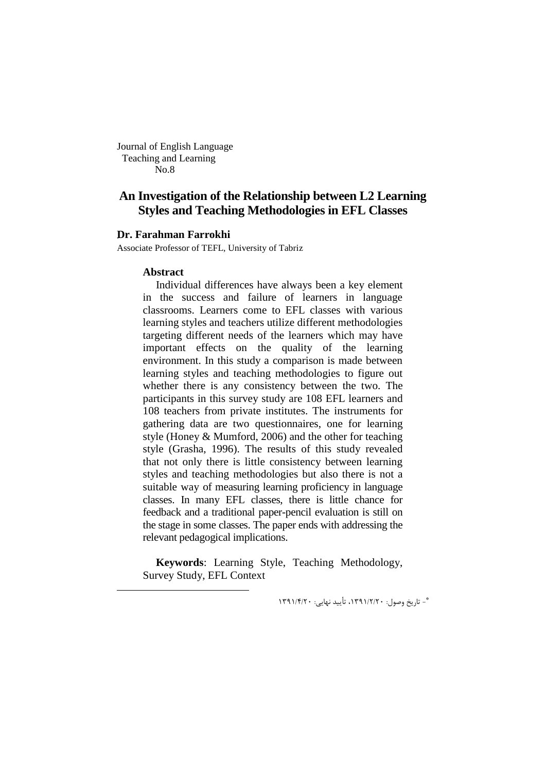Journal of English Language Teaching and Learning No.8

# **An Investigation of the Relationship between L2 Learning Styles and Teaching Methodologies in EFL Classes**

### **ِDr. Farahman Farrokhi**

Associate Professor of TEFL, University of Tabriz

#### **Abstract**

-

Individual differences have always been a key element in the success and failure of learners in language classrooms. Learners come to EFL classes with various learning styles and teachers utilize different methodologies targeting different needs of the learners which may have important effects on the quality of the learning environment. In this study a comparison is made between learning styles and teaching methodologies to figure out whether there is any consistency between the two. The participants in this survey study are 108 EFL learners and 108 teachers from private institutes. The instruments for gathering data are two questionnaires, one for learning style (Honey & Mumford, 2006) and the other for teaching style (Grasha, 1996). The results of this study revealed that not only there is little consistency between learning styles and teaching methodologies but also there is not a suitable way of measuring learning proficiency in language classes. In many EFL classes, there is little chance for feedback and a traditional paper-pencil evaluation is still on the stage in some classes. The paper ends with addressing the relevant pedagogical implications.

**Keywords**: Learning Style, Teaching Methodology, Survey Study, EFL Context

\* - تاریخ وصول: ،1391/2/20 تأیید نهایی: 1391/4/20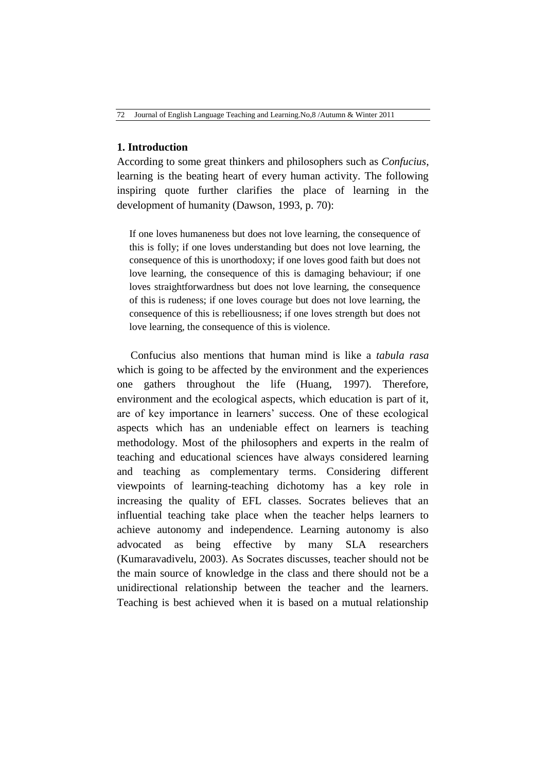### **1. Introduction**

According to some great thinkers and philosophers such as *Confucius*, learning is the beating heart of every human activity. The following inspiring quote further clarifies the place of learning in the development of humanity (Dawson, 1993, p. 70):

If one loves humaneness but does not love learning, the consequence of this is folly; if one loves understanding but does not love learning, the consequence of this is unorthodoxy; if one loves good faith but does not love learning, the consequence of this is damaging behaviour; if one loves straightforwardness but does not love learning, the consequence of this is rudeness; if one loves courage but does not love learning, the consequence of this is rebelliousness; if one loves strength but does not love learning, the consequence of this is violence.

 Confucius also mentions that human mind is like a *tabula rasa* which is going to be affected by the environment and the experiences one gathers throughout the life (Huang, 1997). Therefore, environment and the ecological aspects, which education is part of it, are of key importance in learners' success. One of these ecological aspects which has an undeniable effect on learners is teaching methodology. Most of the philosophers and experts in the realm of teaching and educational sciences have always considered learning and teaching as complementary terms. Considering different viewpoints of learning-teaching dichotomy has a key role in increasing the quality of EFL classes. Socrates believes that an influential teaching take place when the teacher helps learners to achieve autonomy and independence. Learning autonomy is also advocated as being effective by many SLA researchers (Kumaravadivelu, 2003). As Socrates discusses, teacher should not be the main source of knowledge in the class and there should not be a unidirectional relationship between the teacher and the learners. Teaching is best achieved when it is based on a mutual relationship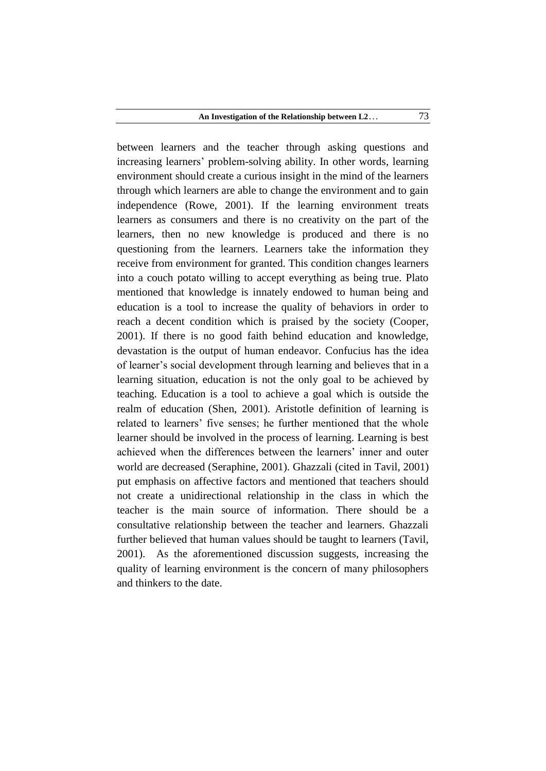between learners and the teacher through asking questions and increasing learners' problem-solving ability. In other words, learning environment should create a curious insight in the mind of the learners through which learners are able to change the environment and to gain independence (Rowe, 2001). If the learning environment treats learners as consumers and there is no creativity on the part of the learners, then no new knowledge is produced and there is no questioning from the learners. Learners take the information they receive from environment for granted. This condition changes learners into a couch potato willing to accept everything as being true. Plato mentioned that knowledge is innately endowed to human being and education is a tool to increase the quality of behaviors in order to reach a decent condition which is praised by the society (Cooper, 2001). If there is no good faith behind education and knowledge, devastation is the output of human endeavor. Confucius has the idea of learner's social development through learning and believes that in a learning situation, education is not the only goal to be achieved by teaching. Education is a tool to achieve a goal which is outside the realm of education (Shen, 2001). Aristotle definition of learning is related to learners' five senses; he further mentioned that the whole learner should be involved in the process of learning. Learning is best achieved when the differences between the learners' inner and outer world are decreased (Seraphine, 2001). Ghazzali (cited in Tavil, 2001) put emphasis on affective factors and mentioned that teachers should not create a unidirectional relationship in the class in which the teacher is the main source of information. There should be a consultative relationship between the teacher and learners. Ghazzali further believed that human values should be taught to learners (Tavil, 2001). As the aforementioned discussion suggests, increasing the quality of learning environment is the concern of many philosophers and thinkers to the date.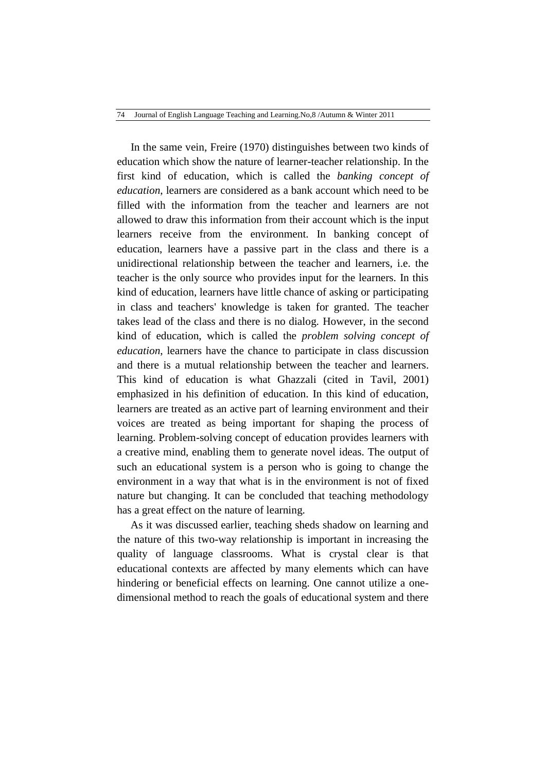In the same vein, Freire (1970) distinguishes between two kinds of education which show the nature of learner-teacher relationship. In the first kind of education, which is called the *banking concept of education*, learners are considered as a bank account which need to be filled with the information from the teacher and learners are not allowed to draw this information from their account which is the input learners receive from the environment. In banking concept of education, learners have a passive part in the class and there is a unidirectional relationship between the teacher and learners, i.e. the teacher is the only source who provides input for the learners. In this kind of education, learners have little chance of asking or participating in class and teachers' knowledge is taken for granted. The teacher takes lead of the class and there is no dialog. However, in the second kind of education, which is called the *problem solving concept of education*, learners have the chance to participate in class discussion and there is a mutual relationship between the teacher and learners. This kind of education is what Ghazzali (cited in Tavil, 2001) emphasized in his definition of education. In this kind of education, learners are treated as an active part of learning environment and their voices are treated as being important for shaping the process of learning. Problem-solving concept of education provides learners with a creative mind, enabling them to generate novel ideas. The output of such an educational system is a person who is going to change the environment in a way that what is in the environment is not of fixed nature but changing. It can be concluded that teaching methodology has a great effect on the nature of learning.

 As it was discussed earlier, teaching sheds shadow on learning and the nature of this two-way relationship is important in increasing the quality of language classrooms. What is crystal clear is that educational contexts are affected by many elements which can have hindering or beneficial effects on learning. One cannot utilize a onedimensional method to reach the goals of educational system and there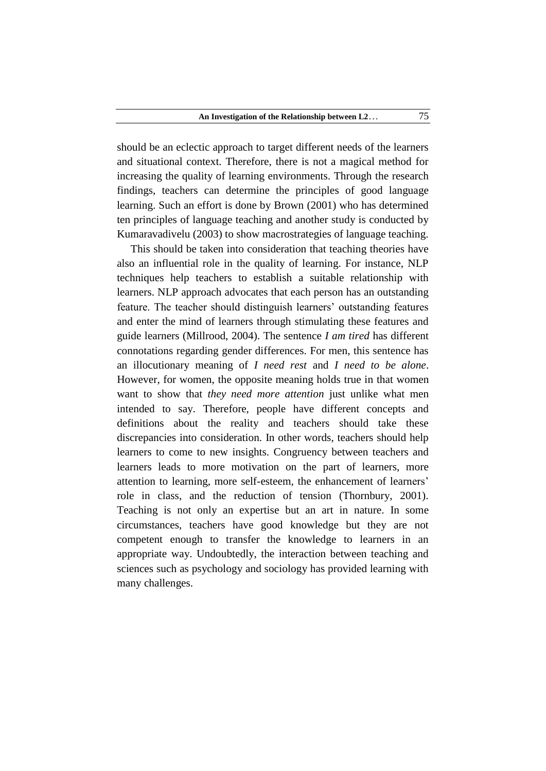should be an eclectic approach to target different needs of the learners and situational context. Therefore, there is not a magical method for increasing the quality of learning environments. Through the research findings, teachers can determine the principles of good language learning. Such an effort is done by Brown (2001) who has determined ten principles of language teaching and another study is conducted by Kumaravadivelu (2003) to show macrostrategies of language teaching.

 This should be taken into consideration that teaching theories have also an influential role in the quality of learning. For instance, NLP techniques help teachers to establish a suitable relationship with learners. NLP approach advocates that each person has an outstanding feature. The teacher should distinguish learners' outstanding features and enter the mind of learners through stimulating these features and guide learners (Millrood, 2004). The sentence *I am tired* has different connotations regarding gender differences. For men, this sentence has an illocutionary meaning of *I need rest* and *I need to be alone*. However, for women, the opposite meaning holds true in that women want to show that *they need more attention* just unlike what men intended to say. Therefore, people have different concepts and definitions about the reality and teachers should take these discrepancies into consideration. In other words, teachers should help learners to come to new insights. Congruency between teachers and learners leads to more motivation on the part of learners, more attention to learning, more self-esteem, the enhancement of learners' role in class, and the reduction of tension (Thornbury, 2001). Teaching is not only an expertise but an art in nature. In some circumstances, teachers have good knowledge but they are not competent enough to transfer the knowledge to learners in an appropriate way. Undoubtedly, the interaction between teaching and sciences such as psychology and sociology has provided learning with many challenges.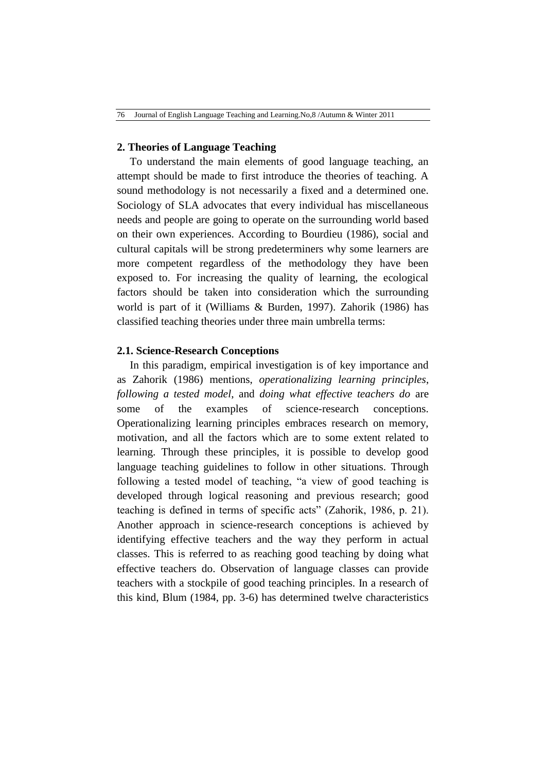### **2. Theories of Language Teaching**

To understand the main elements of good language teaching, an attempt should be made to first introduce the theories of teaching. A sound methodology is not necessarily a fixed and a determined one. Sociology of SLA advocates that every individual has miscellaneous needs and people are going to operate on the surrounding world based on their own experiences. According to Bourdieu (1986), social and cultural capitals will be strong predeterminers why some learners are more competent regardless of the methodology they have been exposed to. For increasing the quality of learning, the ecological factors should be taken into consideration which the surrounding world is part of it (Williams & Burden, 1997). Zahorik (1986) has classified teaching theories under three main umbrella terms:

# **2.1. Science-Research Conceptions**

In this paradigm, empirical investigation is of key importance and as Zahorik (1986) mentions, *operationalizing learning principles*, *following a tested model*, and *doing what effective teachers do* are some of the examples of science-research conceptions. Operationalizing learning principles embraces research on memory, motivation, and all the factors which are to some extent related to learning. Through these principles, it is possible to develop good language teaching guidelines to follow in other situations. Through following a tested model of teaching, "a view of good teaching is developed through logical reasoning and previous research; good teaching is defined in terms of specific acts" (Zahorik, 1986, p. 21). Another approach in science-research conceptions is achieved by identifying effective teachers and the way they perform in actual classes. This is referred to as reaching good teaching by doing what effective teachers do. Observation of language classes can provide teachers with a stockpile of good teaching principles. In a research of this kind, Blum (1984, pp. 3-6) has determined twelve characteristics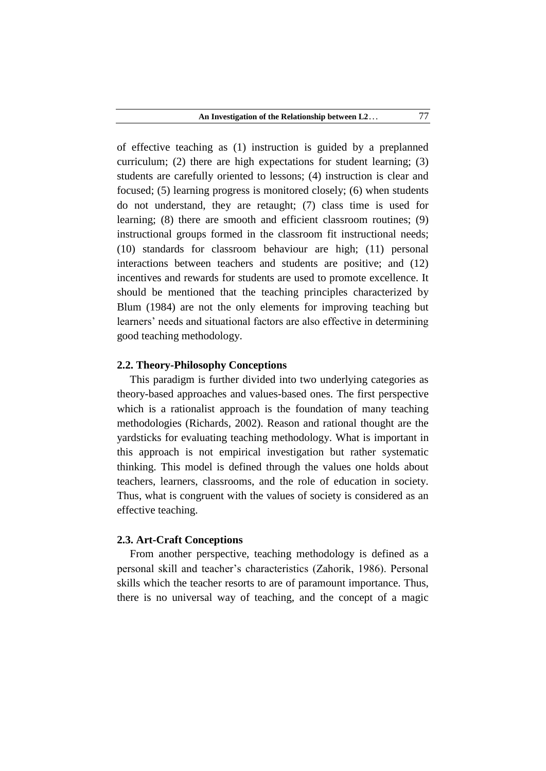of effective teaching as (1) instruction is guided by a preplanned curriculum; (2) there are high expectations for student learning; (3) students are carefully oriented to lessons; (4) instruction is clear and focused; (5) learning progress is monitored closely; (6) when students do not understand, they are retaught; (7) class time is used for learning; (8) there are smooth and efficient classroom routines; (9) instructional groups formed in the classroom fit instructional needs; (10) standards for classroom behaviour are high; (11) personal interactions between teachers and students are positive; and (12) incentives and rewards for students are used to promote excellence. It should be mentioned that the teaching principles characterized by Blum (1984) are not the only elements for improving teaching but learners' needs and situational factors are also effective in determining good teaching methodology.

### **2.2. Theory-Philosophy Conceptions**

This paradigm is further divided into two underlying categories as theory-based approaches and values-based ones. The first perspective which is a rationalist approach is the foundation of many teaching methodologies (Richards, 2002). Reason and rational thought are the yardsticks for evaluating teaching methodology. What is important in this approach is not empirical investigation but rather systematic thinking. This model is defined through the values one holds about teachers, learners, classrooms, and the role of education in society. Thus, what is congruent with the values of society is considered as an effective teaching.

#### **2.3. Art-Craft Conceptions**

From another perspective, teaching methodology is defined as a personal skill and teacher's characteristics (Zahorik, 1986). Personal skills which the teacher resorts to are of paramount importance. Thus, there is no universal way of teaching, and the concept of a magic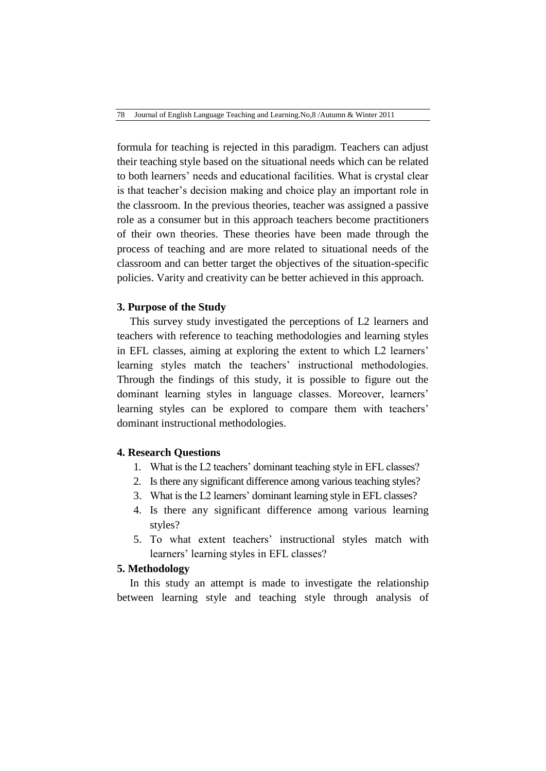formula for teaching is rejected in this paradigm. Teachers can adjust their teaching style based on the situational needs which can be related to both learners' needs and educational facilities. What is crystal clear is that teacher's decision making and choice play an important role in the classroom. In the previous theories, teacher was assigned a passive role as a consumer but in this approach teachers become practitioners of their own theories. These theories have been made through the process of teaching and are more related to situational needs of the classroom and can better target the objectives of the situation-specific policies. Varity and creativity can be better achieved in this approach.

# **3. Purpose of the Study**

This survey study investigated the perceptions of L2 learners and teachers with reference to teaching methodologies and learning styles in EFL classes, aiming at exploring the extent to which L2 learners' learning styles match the teachers' instructional methodologies. Through the findings of this study, it is possible to figure out the dominant learning styles in language classes. Moreover, learners' learning styles can be explored to compare them with teachers' dominant instructional methodologies.

#### **4. Research Questions**

- 1. What is the L2 teachers' dominant teaching style in EFL classes?
- 2. Is there any significant difference among various teaching styles?
- 3. What is the L2 learners' dominant learning style in EFL classes?
- 4. Is there any significant difference among various learning styles?
- 5. To what extent teachers' instructional styles match with learners' learning styles in EFL classes?

# **5. Methodology**

In this study an attempt is made to investigate the relationship between learning style and teaching style through analysis of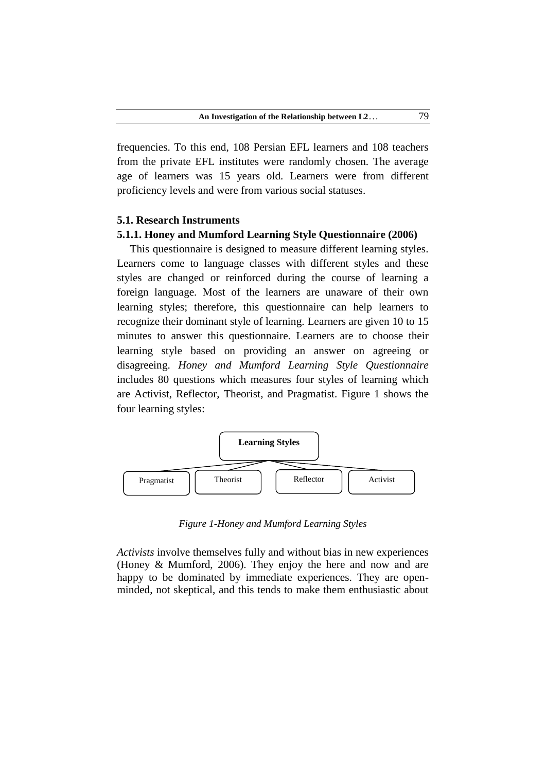frequencies. To this end, 108 Persian EFL learners and 108 teachers from the private EFL institutes were randomly chosen. The average age of learners was 15 years old. Learners were from different proficiency levels and were from various social statuses.

#### **5.1. Research Instruments**

#### **5.1.1. Honey and Mumford Learning Style Questionnaire (2006)**

This questionnaire is designed to measure different learning styles. Learners come to language classes with different styles and these styles are changed or reinforced during the course of learning a foreign language. Most of the learners are unaware of their own learning styles; therefore, this questionnaire can help learners to recognize their dominant style of learning. Learners are given 10 to 15 minutes to answer this questionnaire. Learners are to choose their learning style based on providing an answer on agreeing or disagreeing. *Honey and Mumford Learning Style Questionnaire* includes 80 questions which measures four styles of learning which are Activist, Reflector, Theorist, and Pragmatist. Figure 1 shows the four learning styles:



*Figure 1-Honey and Mumford Learning Styles* 

*Activists* involve themselves fully and without bias in new experiences (Honey & Mumford, 2006). They enjoy the here and now and are happy to be dominated by immediate experiences. They are openminded, not skeptical, and this tends to make them enthusiastic about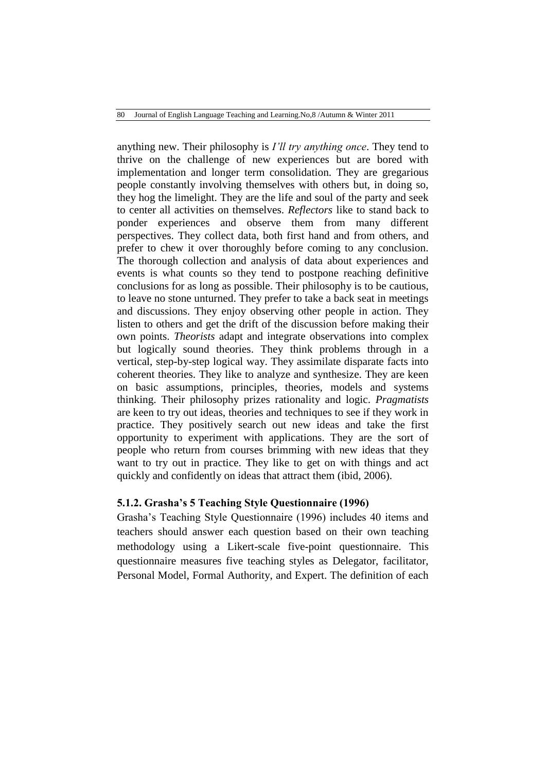anything new. Their philosophy is *I'll try anything once*. They tend to thrive on the challenge of new experiences but are bored with implementation and longer term consolidation. They are gregarious people constantly involving themselves with others but, in doing so, they hog the limelight. They are the life and soul of the party and seek to center all activities on themselves. *Reflectors* like to stand back to ponder experiences and observe them from many different perspectives. They collect data, both first hand and from others, and prefer to chew it over thoroughly before coming to any conclusion. The thorough collection and analysis of data about experiences and events is what counts so they tend to postpone reaching definitive conclusions for as long as possible. Their philosophy is to be cautious, to leave no stone unturned. They prefer to take a back seat in meetings and discussions. They enjoy observing other people in action. They listen to others and get the drift of the discussion before making their own points. *Theorists* adapt and integrate observations into complex but logically sound theories. They think problems through in a vertical, step-by-step logical way. They assimilate disparate facts into coherent theories. They like to analyze and synthesize. They are keen on basic assumptions, principles, theories, models and systems thinking. Their philosophy prizes rationality and logic. *Pragmatists* are keen to try out ideas, theories and techniques to see if they work in practice. They positively search out new ideas and take the first opportunity to experiment with applications. They are the sort of people who return from courses brimming with new ideas that they want to try out in practice. They like to get on with things and act quickly and confidently on ideas that attract them (ibid, 2006).

# **5.1.2. Grasha's 5 Teaching Style Questionnaire (1996)**

Grasha's Teaching Style Questionnaire (1996) includes 40 items and teachers should answer each question based on their own teaching methodology using a Likert-scale five-point questionnaire. This questionnaire measures five teaching styles as Delegator, facilitator, Personal Model, Formal Authority, and Expert. The definition of each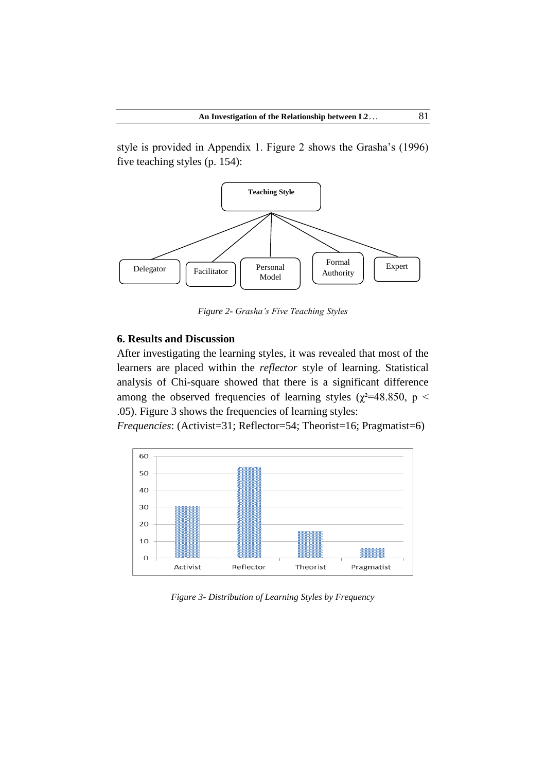style is provided in Appendix 1. Figure 2 shows the Grasha's (1996) five teaching styles (p. 154):



*Figure 2- Grasha's Five Teaching Styles*

# **6. Results and Discussion**

After investigating the learning styles, it was revealed that most of the learners are placed within the *reflector* style of learning. Statistical analysis of Chi-square showed that there is a significant difference among the observed frequencies of learning styles ( $\chi^2$ =48.850, p < .05). Figure 3 shows the frequencies of learning styles:

*Frequencies*: (Activist=31; Reflector=54; Theorist=16; Pragmatist=6)



*Figure 3- Distribution of Learning Styles by Frequency*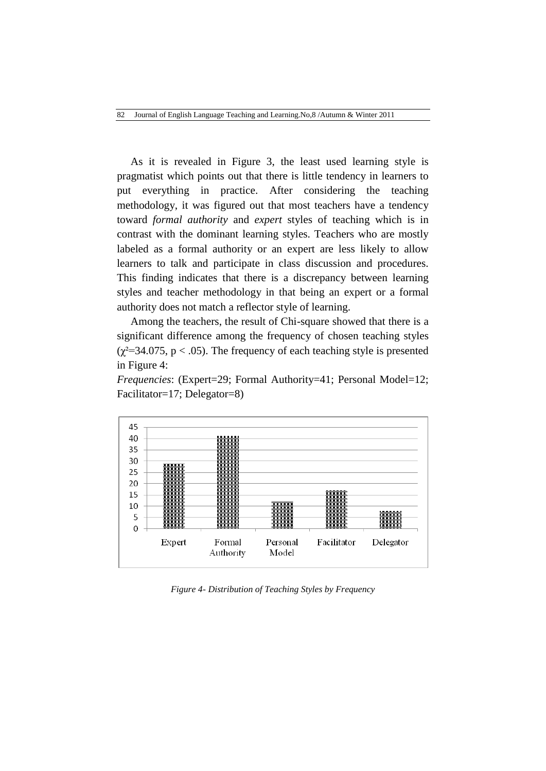82 Journal of English Language Teaching and Learning.No,8 /Autumn & Winter 2011

 As it is revealed in Figure 3, the least used learning style is pragmatist which points out that there is little tendency in learners to put everything in practice. After considering the teaching methodology, it was figured out that most teachers have a tendency toward *formal authority* and *expert* styles of teaching which is in contrast with the dominant learning styles. Teachers who are mostly labeled as a formal authority or an expert are less likely to allow learners to talk and participate in class discussion and procedures. This finding indicates that there is a discrepancy between learning styles and teacher methodology in that being an expert or a formal authority does not match a reflector style of learning.

 Among the teachers, the result of Chi-square showed that there is a significant difference among the frequency of chosen teaching styles  $(\chi^2=34.075, p < .05)$ . The frequency of each teaching style is presented in Figure 4:

*Frequencies*: (Expert=29; Formal Authority=41; Personal Model=12; Facilitator=17; Delegator=8)



*Figure 4- Distribution of Teaching Styles by Frequency*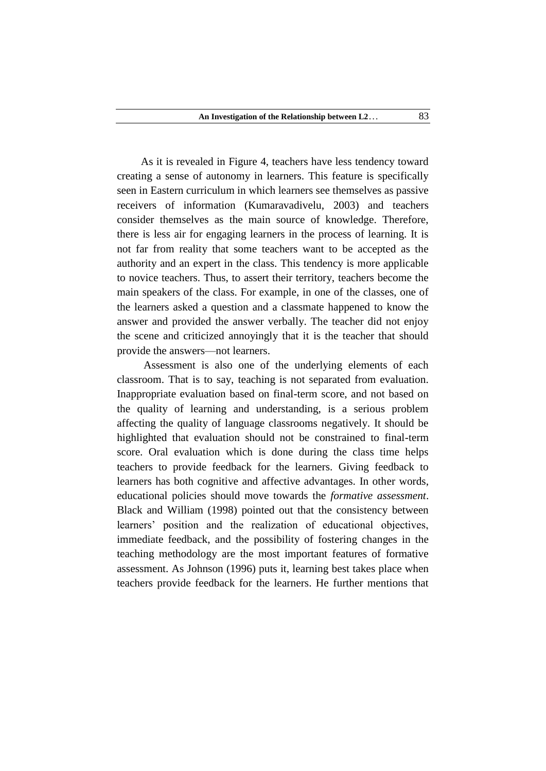As it is revealed in Figure 4, teachers have less tendency toward creating a sense of autonomy in learners. This feature is specifically seen in Eastern curriculum in which learners see themselves as passive receivers of information (Kumaravadivelu, 2003) and teachers consider themselves as the main source of knowledge. Therefore, there is less air for engaging learners in the process of learning. It is not far from reality that some teachers want to be accepted as the authority and an expert in the class. This tendency is more applicable to novice teachers. Thus, to assert their territory, teachers become the main speakers of the class. For example, in one of the classes, one of the learners asked a question and a classmate happened to know the answer and provided the answer verbally. The teacher did not enjoy the scene and criticized annoyingly that it is the teacher that should provide the answers—not learners.

 Assessment is also one of the underlying elements of each classroom. That is to say, teaching is not separated from evaluation. Inappropriate evaluation based on final-term score, and not based on the quality of learning and understanding, is a serious problem affecting the quality of language classrooms negatively. It should be highlighted that evaluation should not be constrained to final-term score. Oral evaluation which is done during the class time helps teachers to provide feedback for the learners. Giving feedback to learners has both cognitive and affective advantages. In other words, educational policies should move towards the *formative assessment*. Black and William (1998) pointed out that the consistency between learners' position and the realization of educational objectives, immediate feedback, and the possibility of fostering changes in the teaching methodology are the most important features of formative assessment. As Johnson (1996) puts it, learning best takes place when teachers provide feedback for the learners. He further mentions that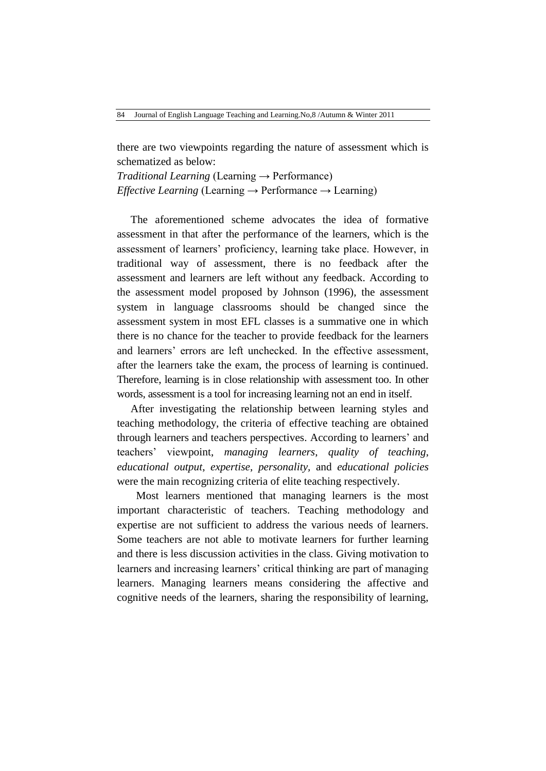there are two viewpoints regarding the nature of assessment which is schematized as below:

*Traditional Learning* (Learning  $\rightarrow$  Performance) *Effective Learning* (Learning → Performance → Learning)

 The aforementioned scheme advocates the idea of formative assessment in that after the performance of the learners, which is the assessment of learners' proficiency, learning take place. However, in traditional way of assessment, there is no feedback after the assessment and learners are left without any feedback. According to the assessment model proposed by Johnson (1996), the assessment system in language classrooms should be changed since the assessment system in most EFL classes is a summative one in which there is no chance for the teacher to provide feedback for the learners and learners' errors are left unchecked. In the effective assessment, after the learners take the exam, the process of learning is continued. Therefore, learning is in close relationship with assessment too. In other words, assessment is a tool for increasing learning not an end in itself.

 After investigating the relationship between learning styles and teaching methodology, the criteria of effective teaching are obtained through learners and teachers perspectives. According to learners' and teachers' viewpoint, *managing learners*, *quality of teaching*, *educational output*, *expertise*, *personality,* and *educational policies* were the main recognizing criteria of elite teaching respectively.

 Most learners mentioned that managing learners is the most important characteristic of teachers. Teaching methodology and expertise are not sufficient to address the various needs of learners. Some teachers are not able to motivate learners for further learning and there is less discussion activities in the class. Giving motivation to learners and increasing learners' critical thinking are part of managing learners. Managing learners means considering the affective and cognitive needs of the learners, sharing the responsibility of learning,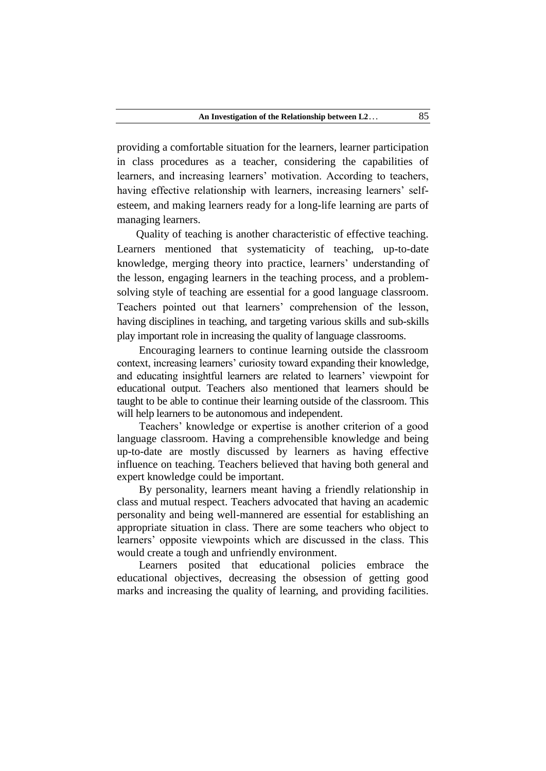providing a comfortable situation for the learners, learner participation in class procedures as a teacher, considering the capabilities of learners, and increasing learners' motivation. According to teachers, having effective relationship with learners, increasing learners' selfesteem, and making learners ready for a long-life learning are parts of managing learners.

 Quality of teaching is another characteristic of effective teaching. Learners mentioned that systematicity of teaching, up-to-date knowledge, merging theory into practice, learners' understanding of the lesson, engaging learners in the teaching process, and a problemsolving style of teaching are essential for a good language classroom. Teachers pointed out that learners' comprehension of the lesson, having disciplines in teaching, and targeting various skills and sub-skills play important role in increasing the quality of language classrooms.

 Encouraging learners to continue learning outside the classroom context, increasing learners' curiosity toward expanding their knowledge, and educating insightful learners are related to learners' viewpoint for educational output. Teachers also mentioned that learners should be taught to be able to continue their learning outside of the classroom. This will help learners to be autonomous and independent.

 Teachers' knowledge or expertise is another criterion of a good language classroom. Having a comprehensible knowledge and being up-to-date are mostly discussed by learners as having effective influence on teaching. Teachers believed that having both general and expert knowledge could be important.

 By personality, learners meant having a friendly relationship in class and mutual respect. Teachers advocated that having an academic personality and being well-mannered are essential for establishing an appropriate situation in class. There are some teachers who object to learners' opposite viewpoints which are discussed in the class. This would create a tough and unfriendly environment.

 Learners posited that educational policies embrace the educational objectives, decreasing the obsession of getting good marks and increasing the quality of learning, and providing facilities.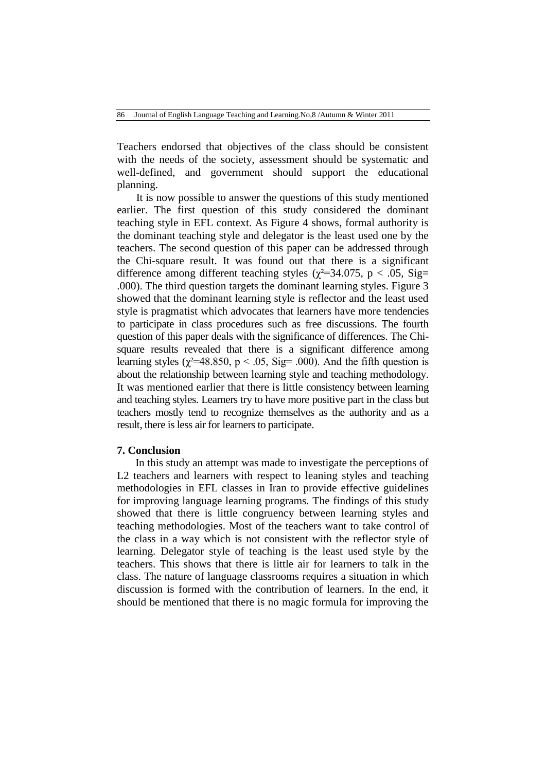Teachers endorsed that objectives of the class should be consistent with the needs of the society, assessment should be systematic and well-defined, and government should support the educational planning.

 It is now possible to answer the questions of this study mentioned earlier. The first question of this study considered the dominant teaching style in EFL context. As Figure 4 shows, formal authority is the dominant teaching style and delegator is the least used one by the teachers. The second question of this paper can be addressed through the Chi-square result. It was found out that there is a significant difference among different teaching styles ( $\chi^2$ =34.075, p < .05, Sig= .000). The third question targets the dominant learning styles. Figure 3 showed that the dominant learning style is reflector and the least used style is pragmatist which advocates that learners have more tendencies to participate in class procedures such as free discussions. The fourth question of this paper deals with the significance of differences. The Chisquare results revealed that there is a significant difference among learning styles ( $\chi^2$ =48.850, p < .05, Sig= .000). And the fifth question is about the relationship between learning style and teaching methodology. It was mentioned earlier that there is little consistency between learning and teaching styles. Learners try to have more positive part in the class but teachers mostly tend to recognize themselves as the authority and as a result, there is less air for learners to participate.

### **7. Conclusion**

 In this study an attempt was made to investigate the perceptions of L2 teachers and learners with respect to leaning styles and teaching methodologies in EFL classes in Iran to provide effective guidelines for improving language learning programs. The findings of this study showed that there is little congruency between learning styles and teaching methodologies. Most of the teachers want to take control of the class in a way which is not consistent with the reflector style of learning. Delegator style of teaching is the least used style by the teachers. This shows that there is little air for learners to talk in the class. The nature of language classrooms requires a situation in which discussion is formed with the contribution of learners. In the end, it should be mentioned that there is no magic formula for improving the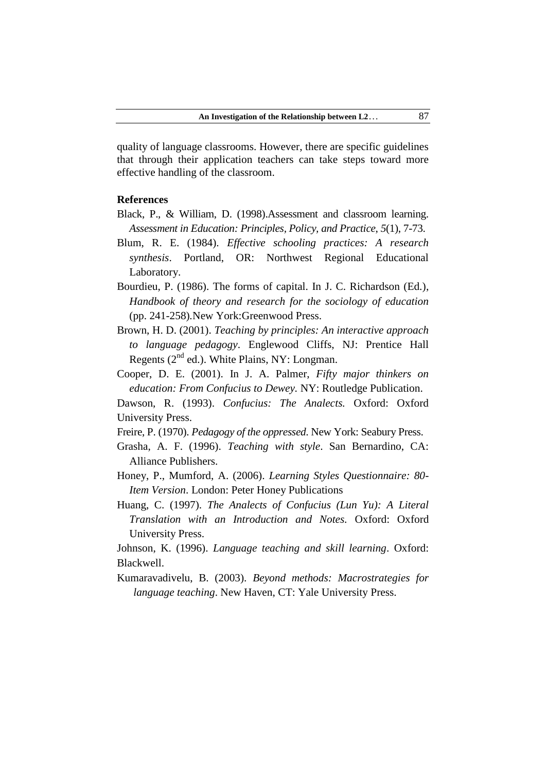quality of language classrooms. However, there are specific guidelines that through their application teachers can take steps toward more effective handling of the classroom.

### **References**

- Black, P., & William, D. (1998).Assessment and classroom learning. *Assessment in Education: Principles, Policy, and Practice*, *5*(1), 7-73.
- Blum, R. E. (1984). *Effective schooling practices: A research synthesis*. Portland, OR: Northwest Regional Educational Laboratory.
- Bourdieu, P. (1986). The forms of capital. In J. C. Richardson (Ed.), *Handbook of theory and research for the sociology of education* (pp. 241-258)*.*New York:Greenwood Press.
- Brown, H. D. (2001). *Teaching by principles: An interactive approach to language pedagogy*. Englewood Cliffs, NJ: Prentice Hall Regents  $(2^{nd}$  ed.). White Plains, NY: Longman.
- Cooper, D. E. (2001). In J. A. Palmer, *Fifty major thinkers on education: From Confucius to Dewey.* NY: Routledge Publication.
- Dawson, R. (1993). *Confucius: The Analects.* Oxford: Oxford University Press.
- Freire, P. (1970). *Pedagogy of the oppressed*. New York: Seabury Press.
- Grasha, A. F. (1996). *Teaching with style*. San Bernardino, CA: Alliance Publishers.
- Honey, P., Mumford, A. (2006). *Learning Styles Questionnaire: 80- Item Version*. London: Peter Honey Publications
- Huang, C. (1997). *The Analects of Confucius (Lun Yu): A Literal Translation with an Introduction and Notes.* Oxford: Oxford University Press.
- Johnson, K. (1996). *Language teaching and skill learning*. Oxford: Blackwell.
- Kumaravadivelu, B. (2003). *Beyond methods: Macrostrategies for language teaching*. New Haven, CT: Yale University Press.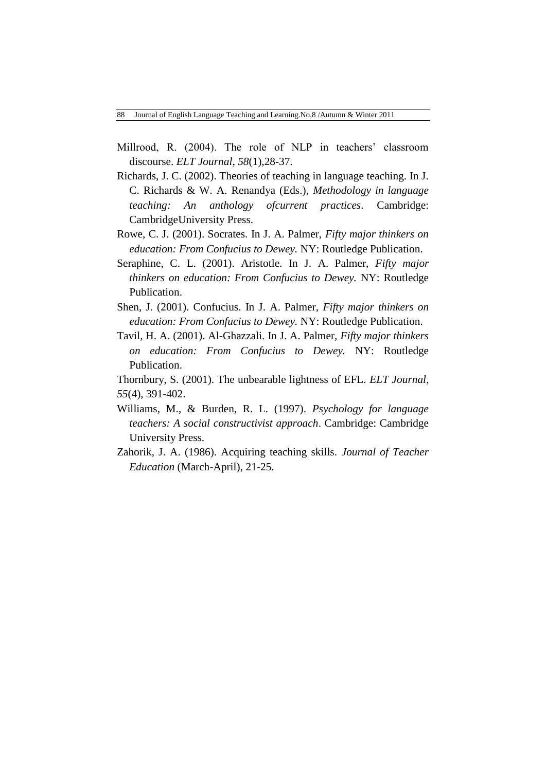- Millrood, R. (2004). The role of NLP in teachers' classroom discourse. *ELT Journal*, *58*(1),28-37.
- Richards, J. C. (2002). Theories of teaching in language teaching. In J. C. Richards & W. A. Renandya (Eds.), *Methodology in language teaching: An anthology ofcurrent practices*. Cambridge: CambridgeUniversity Press.
- Rowe, C. J. (2001). Socrates. In J. A. Palmer, *Fifty major thinkers on education: From Confucius to Dewey.* NY: Routledge Publication.
- Seraphine, C. L. (2001). Aristotle. In J. A. Palmer, *Fifty major thinkers on education: From Confucius to Dewey.* NY: Routledge Publication.
- Shen, J. (2001). Confucius. In J. A. Palmer, *Fifty major thinkers on education: From Confucius to Dewey.* NY: Routledge Publication.
- Tavil, H. A. (2001). Al-Ghazzali. In J. A. Palmer, *Fifty major thinkers on education: From Confucius to Dewey.* NY: Routledge Publication.
- Thornbury, S. (2001). The unbearable lightness of EFL. *ELT Journal*, *55*(4), 391-402.
- Williams, M., & Burden, R. L. (1997). *Psychology for language teachers: A social constructivist approach*. Cambridge: Cambridge University Press.
- Zahorik, J. A. (1986). Acquiring teaching skills. *Journal of Teacher Education* (March-April), 21-25.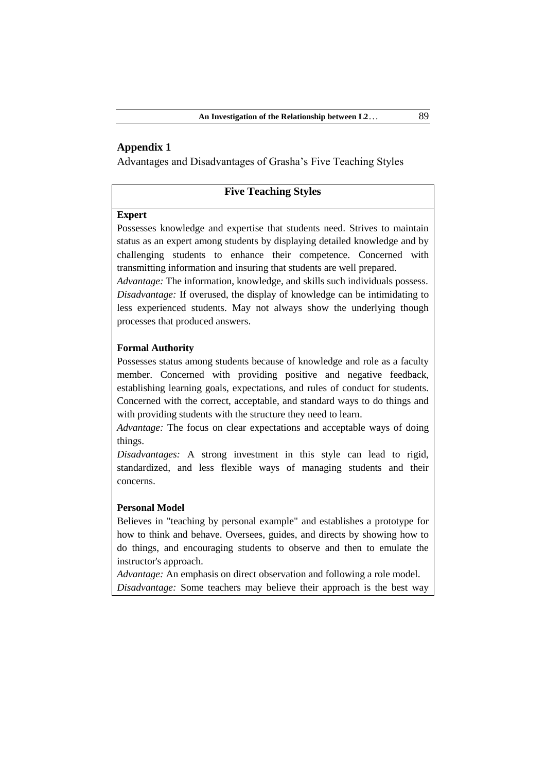# **Appendix 1**

Advantages and Disadvantages of Grasha's Five Teaching Styles

# **Five Teaching Styles**

### **Expert**

Possesses knowledge and expertise that students need. Strives to maintain status as an expert among students by displaying detailed knowledge and by challenging students to enhance their competence. Concerned with transmitting information and insuring that students are well prepared.

*Advantage:* The information, knowledge, and skills such individuals possess. *Disadvantage:* If overused, the display of knowledge can be intimidating to less experienced students. May not always show the underlying though processes that produced answers.

### **Formal Authority**

Possesses status among students because of knowledge and role as a faculty member. Concerned with providing positive and negative feedback, establishing learning goals, expectations, and rules of conduct for students. Concerned with the correct, acceptable, and standard ways to do things and with providing students with the structure they need to learn.

*Advantage:* The focus on clear expectations and acceptable ways of doing things.

*Disadvantages:* A strong investment in this style can lead to rigid, standardized, and less flexible ways of managing students and their concerns.

### **Personal Model**

Believes in "teaching by personal example" and establishes a prototype for how to think and behave. Oversees, guides, and directs by showing how to do things, and encouraging students to observe and then to emulate the instructor's approach.

*Advantage:* An emphasis on direct observation and following a role model.

*Disadvantage:* Some teachers may believe their approach is the best way